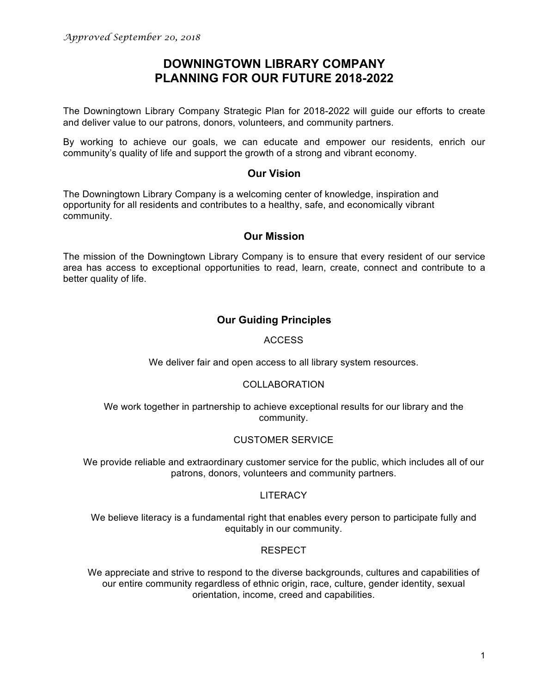# **DOWNINGTOWN LIBRARY COMPANY PLANNING FOR OUR FUTURE 2018-2022**

The Downingtown Library Company Strategic Plan for 2018-2022 will guide our efforts to create and deliver value to our patrons, donors, volunteers, and community partners.

By working to achieve our goals, we can educate and empower our residents, enrich our community's quality of life and support the growth of a strong and vibrant economy.

### **Our Vision**

The Downingtown Library Company is a welcoming center of knowledge, inspiration and opportunity for all residents and contributes to a healthy, safe, and economically vibrant community.

### **Our Mission**

The mission of the Downingtown Library Company is to ensure that every resident of our service area has access to exceptional opportunities to read, learn, create, connect and contribute to a better quality of life.

## **Our Guiding Principles**

### ACCESS

We deliver fair and open access to all library system resources.

### COLLABORATION

We work together in partnership to achieve exceptional results for our library and the community.

### CUSTOMER SERVICE

We provide reliable and extraordinary customer service for the public, which includes all of our patrons, donors, volunteers and community partners.

### **LITERACY**

We believe literacy is a fundamental right that enables every person to participate fully and equitably in our community.

### RESPECT

We appreciate and strive to respond to the diverse backgrounds, cultures and capabilities of our entire community regardless of ethnic origin, race, culture, gender identity, sexual orientation, income, creed and capabilities.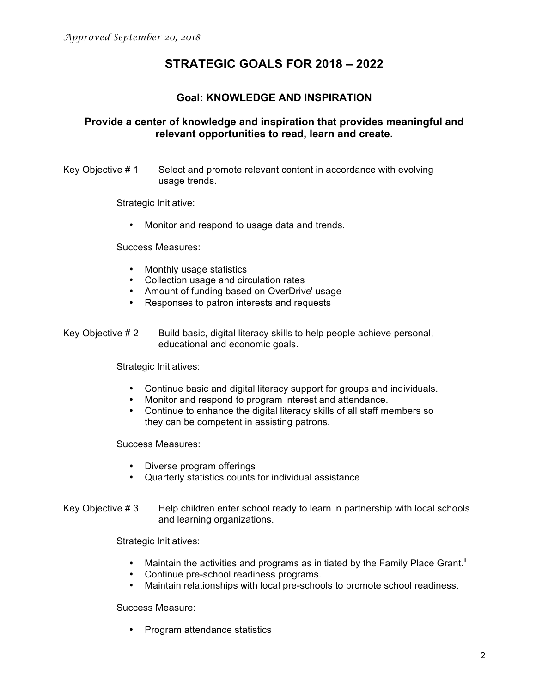# **STRATEGIC GOALS FOR 2018 – 2022**

## **Goal: KNOWLEDGE AND INSPIRATION**

## **Provide a center of knowledge and inspiration that provides meaningful and relevant opportunities to read, learn and create.**

Key Objective # 1 Select and promote relevant content in accordance with evolving usage trends.

Strategic Initiative:

• Monitor and respond to usage data and trends.

Success Measures:

- Monthly usage statistics
- Collection usage and circulation rates
- Amount of funding based on OverDrive usage
- Responses to patron interests and requests

Key Objective  $# 2$  Build basic, digital literacy skills to help people achieve personal, educational and economic goals.

Strategic Initiatives:

- Continue basic and digital literacy support for groups and individuals.
- Monitor and respond to program interest and attendance.
- Continue to enhance the digital literacy skills of all staff members so they can be competent in assisting patrons.

Success Measures:

- Diverse program offerings
- Quarterly statistics counts for individual assistance
- Key Objective  $#3$  Help children enter school ready to learn in partnership with local schools and learning organizations.

Strategic Initiatives:

- Maintain the activities and programs as initiated by the Family Place Grant.<sup>ii</sup>
- Continue pre-school readiness programs.
- Maintain relationships with local pre-schools to promote school readiness.

Success Measure:

• Program attendance statistics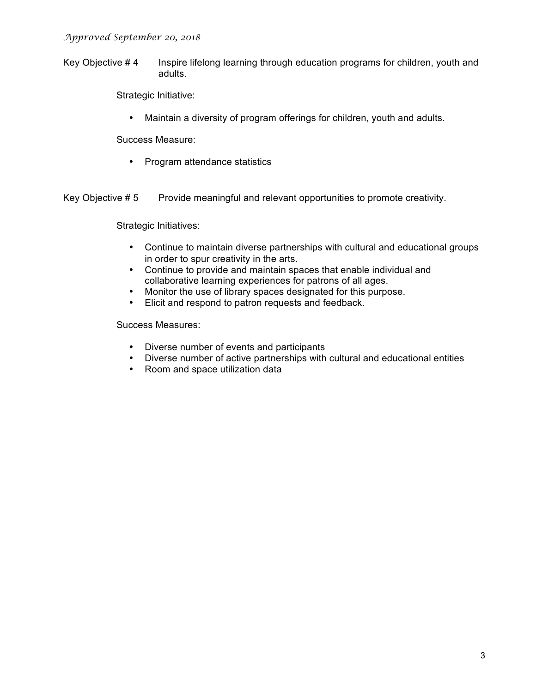#### *Approved September 20, 2018*

Key Objective #4 Inspire lifelong learning through education programs for children, youth and adults.

Strategic Initiative:

• Maintain a diversity of program offerings for children, youth and adults.

Success Measure:

• Program attendance statistics

Key Objective  $# 5$  Provide meaningful and relevant opportunities to promote creativity.

Strategic Initiatives:

- Continue to maintain diverse partnerships with cultural and educational groups in order to spur creativity in the arts.
- Continue to provide and maintain spaces that enable individual and collaborative learning experiences for patrons of all ages.
- Monitor the use of library spaces designated for this purpose.
- Elicit and respond to patron requests and feedback.

- Diverse number of events and participants
- Diverse number of active partnerships with cultural and educational entities
- Room and space utilization data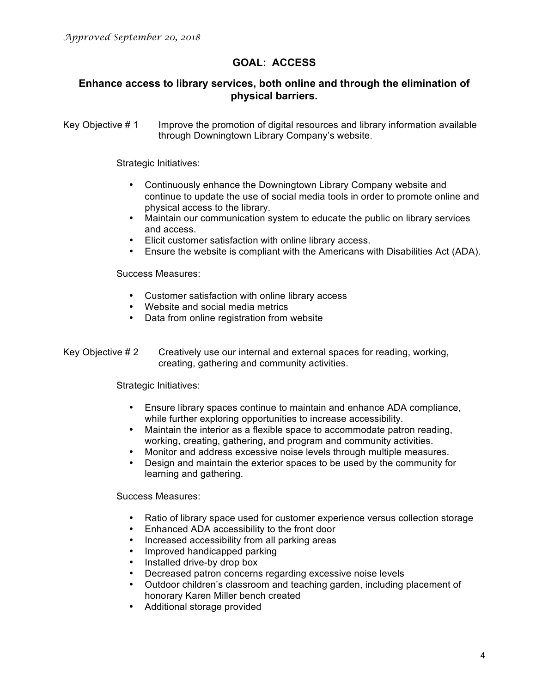## **GOAL: ACCESS**

## **Enhance access to library services, both online and through the elimination of physical barriers.**

Key Objective # 1 Improve the promotion of digital resources and library information available through Downingtown Library Company's website.

Strategic Initiatives:

- Continuously enhance the Downingtown Library Company website and continue to update the use of social media tools in order to promote online and physical access to the library.
- Maintain our communication system to educate the public on library services and access.
- Elicit customer satisfaction with online library access.
- Ensure the website is compliant with the Americans with Disabilities Act (ADA).

Success Measures:

- Customer satisfaction with online library access
- Website and social media metrics
- Data from online registration from website
- Key Objective # 2 Creatively use our internal and external spaces for reading, working, creating, gathering and community activities.

Strategic Initiatives:

- Ensure library spaces continue to maintain and enhance ADA compliance, while further exploring opportunities to increase accessibility.
- Maintain the interior as a flexible space to accommodate patron reading, working, creating, gathering, and program and community activities.
- Monitor and address excessive noise levels through multiple measures.
- Design and maintain the exterior spaces to be used by the community for learning and gathering.

- Ratio of library space used for customer experience versus collection storage
- Enhanced ADA accessibility to the front door
- Increased accessibility from all parking areas
- Improved handicapped parking
- Installed drive-by drop box
- Decreased patron concerns regarding excessive noise levels
- Outdoor children's classroom and teaching garden, including placement of honorary Karen Miller bench created
- Additional storage provided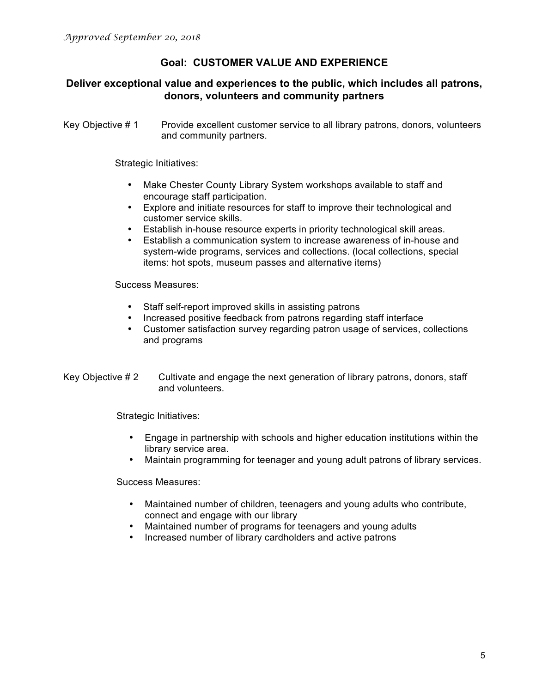## **Goal: CUSTOMER VALUE AND EXPERIENCE**

### **Deliver exceptional value and experiences to the public, which includes all patrons, donors, volunteers and community partners**

Key Objective # 1 Provide excellent customer service to all library patrons, donors, volunteers and community partners.

Strategic Initiatives:

- Make Chester County Library System workshops available to staff and encourage staff participation.
- Explore and initiate resources for staff to improve their technological and customer service skills.
- Establish in-house resource experts in priority technological skill areas.
- Establish a communication system to increase awareness of in-house and system-wide programs, services and collections. (local collections, special items: hot spots, museum passes and alternative items)

Success Measures:

- Staff self-report improved skills in assisting patrons
- Increased positive feedback from patrons regarding staff interface
- Customer satisfaction survey regarding patron usage of services, collections and programs
- Key Objective # 2 Cultivate and engage the next generation of library patrons, donors, staff and volunteers.

Strategic Initiatives:

- Engage in partnership with schools and higher education institutions within the library service area.
- Maintain programming for teenager and young adult patrons of library services.

- Maintained number of children, teenagers and young adults who contribute, connect and engage with our library
- Maintained number of programs for teenagers and young adults
- Increased number of library cardholders and active patrons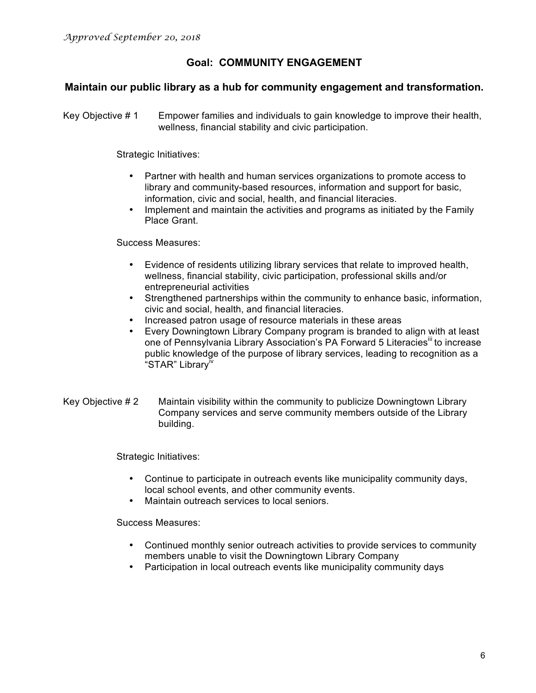## **Goal: COMMUNITY ENGAGEMENT**

### **Maintain our public library as a hub for community engagement and transformation.**

Key Objective # 1 Empower families and individuals to gain knowledge to improve their health, wellness, financial stability and civic participation.

Strategic Initiatives:

- Partner with health and human services organizations to promote access to library and community-based resources, information and support for basic, information, civic and social, health, and financial literacies.
- Implement and maintain the activities and programs as initiated by the Family Place Grant.

Success Measures:

- Evidence of residents utilizing library services that relate to improved health, wellness, financial stability, civic participation, professional skills and/or entrepreneurial activities
- Strengthened partnerships within the community to enhance basic, information, civic and social, health, and financial literacies.
- Increased patron usage of resource materials in these areas
- Every Downingtown Library Company program is branded to align with at least one of Pennsylvania Library Association's PA Forward 5 Literacies<sup>III</sup> to increase public knowledge of the purpose of library services, leading to recognition as a "STAR" Library<sup>iv</sup>
- Key Objective # 2 Maintain visibility within the community to publicize Downingtown Library Company services and serve community members outside of the Library building.

Strategic Initiatives:

- Continue to participate in outreach events like municipality community days, local school events, and other community events.
- Maintain outreach services to local seniors.

- Continued monthly senior outreach activities to provide services to community members unable to visit the Downingtown Library Company
- Participation in local outreach events like municipality community days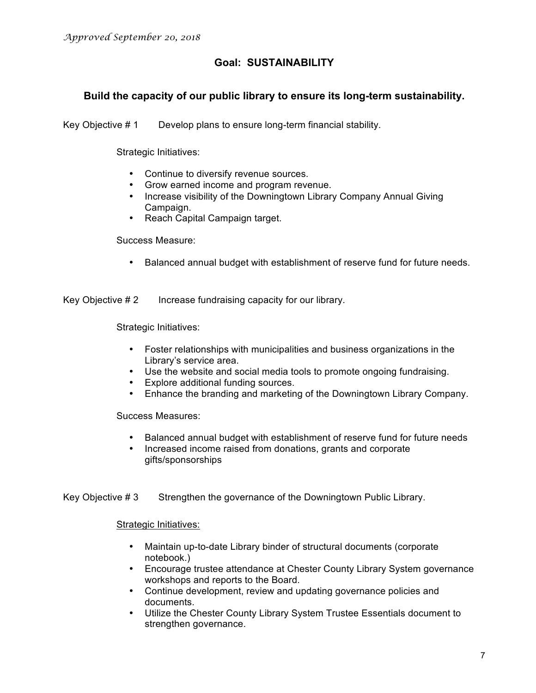## **Goal: SUSTAINABILITY**

## **Build the capacity of our public library to ensure its long-term sustainability.**

Key Objective # 1 Develop plans to ensure long-term financial stability.

Strategic Initiatives:

- Continue to diversify revenue sources.
- Grow earned income and program revenue.
- Increase visibility of the Downingtown Library Company Annual Giving Campaign.
- Reach Capital Campaign target.

Success Measure:

• Balanced annual budget with establishment of reserve fund for future needs.

Key Objective #2 Increase fundraising capacity for our library.

Strategic Initiatives:

- Foster relationships with municipalities and business organizations in the Library's service area.
- Use the website and social media tools to promote ongoing fundraising.
- Explore additional funding sources.
- Enhance the branding and marketing of the Downingtown Library Company.

Success Measures:

- Balanced annual budget with establishment of reserve fund for future needs
- Increased income raised from donations, grants and corporate gifts/sponsorships

Key Objective # 3 Strengthen the governance of the Downingtown Public Library.

Strategic Initiatives:

- Maintain up-to-date Library binder of structural documents (corporate notebook.)
- Encourage trustee attendance at Chester County Library System governance workshops and reports to the Board.
- Continue development, review and updating governance policies and documents.
- Utilize the Chester County Library System Trustee Essentials document to strengthen governance.